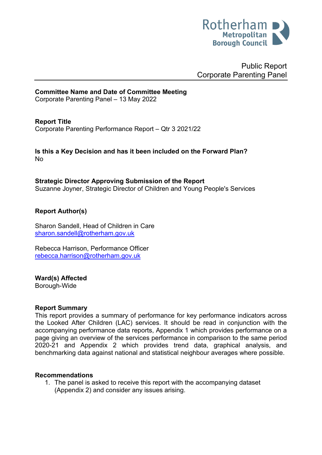

Public Report Corporate Parenting Panel

# **Committee Name and Date of Committee Meeting**

Corporate Parenting Panel – 13 May 2022

#### **Report Title**

<span id="page-0-0"></span>Corporate Parenting Performance Report – Qtr 3 2021/22

**Is this a Key Decision and has it been included on the Forward Plan?**  No

**Strategic Director Approving Submission of the Report** Suzanne Joyner, Strategic Director of Children and Young People's Services

# **Report Author(s)**

Sharon Sandell, Head of Children in Care [sharon.sandell@rotherham.gov.uk](mailto:sharon.sandell@rotherham.gov.uk)

Rebecca Harrison, Performance Officer [rebecca.harrison@rotherham.gov.uk](mailto:rebecca.harrison@rotherham.gov.uk)

#### **Ward(s) Affected**

Borough-Wide

#### **Report Summary**

This report provides a summary of performance for key performance indicators across the Looked After Children (LAC) services. It should be read in conjunction with the accompanying performance data reports, Appendix 1 which provides performance on a page giving an overview of the services performance in comparison to the same period 2020-21 and Appendix 2 which provides trend data, graphical analysis, and benchmarking data against national and statistical neighbour averages where possible.

#### **Recommendations**

1. The panel is asked to receive this report with the accompanying dataset (Appendix 2) and consider any issues arising.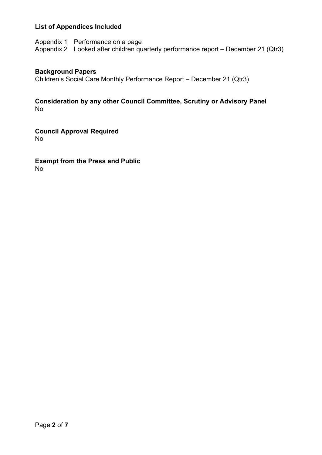# **List of Appendices Included**

Appendix 1 Performance on a page Appendix 2 Looked after children quarterly performance report – December 21 (Qtr3)

#### **Background Papers**

Children's Social Care Monthly Performance Report – December 21 (Qtr3)

#### **Consideration by any other Council Committee, Scrutiny or Advisory Panel** No

**Council Approval Required** No

**Exempt from the Press and Public** No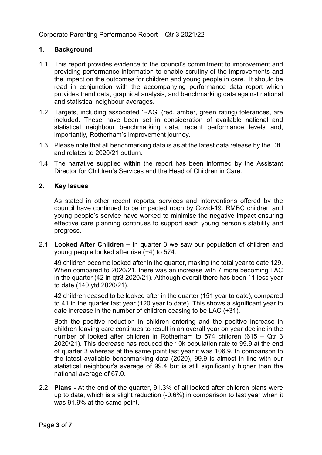[Corporate Parenting Performance Report –](#page-0-0) Qtr 3 2021/22

# **1. Background**

- 1.1 This report provides evidence to the council's commitment to improvement and providing performance information to enable scrutiny of the improvements and the impact on the outcomes for children and young people in care. It should be read in conjunction with the accompanying performance data report which provides trend data, graphical analysis, and benchmarking data against national and statistical neighbour averages.
- 1.2 Targets, including associated 'RAG' (red, amber, green rating) tolerances, are included. These have been set in consideration of available national and statistical neighbour benchmarking data, recent performance levels and, importantly, Rotherham's improvement journey.
- 1.3 Please note that all benchmarking data is as at the latest data release by the DfE and relates to 2020/21 outturn.
- 1.4 The narrative supplied within the report has been informed by the Assistant Director for Children's Services and the Head of Children in Care.

#### **2. Key Issues**

As stated in other recent reports, services and interventions offered by the council have continued to be impacted upon by Covid-19. RMBC children and young people's service have worked to minimise the negative impact ensuring effective care planning continues to support each young person's stability and progress.

2.1 **Looked After Children –** In quarter 3 we saw our population of children and young people looked after rise (+4) to 574.

49 children become looked after in the quarter, making the total year to date 129. When compared to 2020/21, there was an increase with 7 more becoming LAC in the quarter (42 in qtr3 2020/21). Although overall there has been 11 less year to date (140 ytd 2020/21).

42 children ceased to be looked after in the quarter (151 year to date), compared to 41 in the quarter last year (120 year to date). This shows a significant year to date increase in the number of children ceasing to be LAC (+31).

Both the positive reduction in children entering and the positive increase in children leaving care continues to result in an overall year on year decline in the number of looked after children in Rotherham to 574 children (615 – Qtr 3 2020/21). This decrease has reduced the 10k population rate to 99.9 at the end of quarter 3 whereas at the same point last year it was 106.9. In comparison to the latest available benchmarking data (2020), 99.9 is almost in line with our statistical neighbour's average of 99.4 but is still significantly higher than the national average of 67.0.

2.2 **Plans -** At the end of the quarter, 91.3% of all looked after children plans were up to date, which is a slight reduction (-0.6%) in comparison to last year when it was 91.9% at the same point.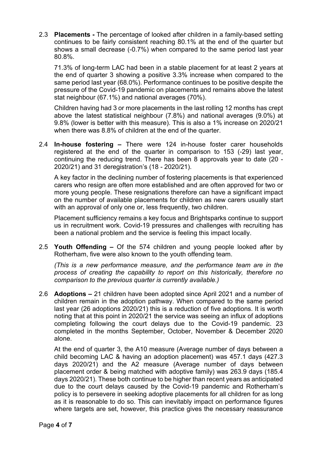2.3 **Placements -** The percentage of looked after children in a family-based setting continues to be fairly consistent reaching 80.1% at the end of the quarter but shows a small decrease (-0.7%) when compared to the same period last year 80.8%.

71.3% of long-term LAC had been in a stable placement for at least 2 years at the end of quarter 3 showing a positive 3.3% increase when compared to the same period last year (68.0%). Performance continues to be positive despite the pressure of the Covid-19 pandemic on placements and remains above the latest stat neighbour (67.1%) and national averages (70%).

Children having had 3 or more placements in the last rolling 12 months has crept above the latest statistical neighbour (7.8%) and national averages (9.0%) at 9.8% (lower is better with this measure). This is also a 1% increase on 2020/21 when there was 8.8% of children at the end of the quarter.

2.4 **In-house fostering –** There were 124 in-house foster carer households registered at the end of the quarter in comparison to 153 (-29) last year, continuing the reducing trend. There has been 8 approvals year to date (20 - 2020/21) and 31 deregistration's (18 - 2020/21).

A key factor in the declining number of fostering placements is that experienced carers who resign are often more established and are often approved for two or more young people. These resignations therefore can have a significant impact on the number of available placements for children as new carers usually start with an approval of only one or, less frequently, two children.

Placement sufficiency remains a key focus and Brightsparks continue to support us in recruitment work. Covid-19 pressures and challenges with recruiting has been a national problem and the service is feeling this impact locally.

2.5 **Youth Offending –** Of the 574 children and young people looked after by Rotherham, five were also known to the youth offending team.

*(This is a new performance measure, and the performance team are in the process of creating the capability to report on this historically, therefore no comparison to the previous quarter is currently available.)*

2.6 **Adoptions –** 21 children have been adopted since April 2021 and a number of children remain in the adoption pathway. When compared to the same period last year (26 adoptions 2020/21) this is a reduction of five adoptions. It is worth noting that at this point in 2020/21 the service was seeing an influx of adoptions completing following the court delays due to the Covid-19 pandemic. 23 completed in the months September, October, November & December 2020 alone.

At the end of quarter 3, the A10 measure (Average number of days between a child becoming LAC & having an adoption placement) was 457.1 days (427.3 days 2020/21) and the A2 measure (Average number of days between placement order & being matched with adoptive family) was 263.9 days (185.4 days 2020/21). These both continue to be higher than recent years as anticipated due to the court delays caused by the Covid-19 pandemic and Rotherham's policy is to persevere in seeking adoptive placements for all children for as long as it is reasonable to do so. This can inevitably impact on performance figures where targets are set, however, this practice gives the necessary reassurance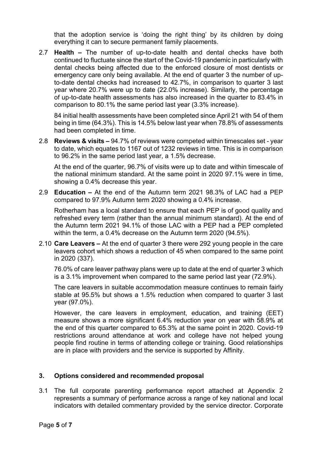that the adoption service is 'doing the right thing' by its children by doing everything it can to secure permanent family placements.

2.7 **Health –** The number of up-to-date health and dental checks have both continued to fluctuate since the start of the Covid-19 pandemic in particularly with dental checks being affected due to the enforced closure of most dentists or emergency care only being available. At the end of quarter 3 the number of upto-date dental checks had increased to 42.7%, in comparison to quarter 3 last year where 20.7% were up to date (22.0% increase). Similarly, the percentage of up-to-date health assessments has also increased in the quarter to 83.4% in comparison to 80.1% the same period last year (3.3% increase).

84 initial health assessments have been completed since April 21 with 54 of them being in time (64.3%). This is 14.5% below last year when 78.8% of assessments had been completed in time.

2.8 **Reviews & visits –** 94.7% of reviews were competed within timescales set - year to date, which equates to 1167 out of 1232 reviews in time. This is in comparison to 96.2% in the same period last year, a 1.5% decrease.

At the end of the quarter, 96.7% of visits were up to date and within timescale of the national minimum standard. At the same point in 2020 97.1% were in time, showing a 0.4% decrease this year.

2.9 **Education –** At the end of the Autumn term 2021 98.3% of LAC had a PEP compared to 97.9% Autumn term 2020 showing a 0.4% increase.

Rotherham has a local standard to ensure that each PEP is of good quality and refreshed every term (rather than the annual minimum standard). At the end of the Autumn term 2021 94.1% of those LAC with a PEP had a PEP completed within the term, a 0.4% decrease on the Autumn term 2020 (94.5%).

2.10 **Care Leavers –** At the end of quarter 3 there were 292 young people in the care leavers cohort which shows a reduction of 45 when compared to the same point in 2020 (337).

76.0% of care leaver pathway plans were up to date at the end of quarter 3 which is a 3.1% improvement when compared to the same period last year (72.9%).

The care leavers in suitable accommodation measure continues to remain fairly stable at 95.5% but shows a 1.5% reduction when compared to quarter 3 last year (97.0%).

However, the care leavers in employment, education, and training (EET) measure shows a more significant 6.4% reduction year on year with 58.9% at the end of this quarter compared to 65.3% at the same point in 2020. Covid-19 restrictions around attendance at work and college have not helped young people find routine in terms of attending college or training. Good relationships are in place with providers and the service is supported by Affinity.

#### **3. Options considered and recommended proposal**

3.1 The full corporate parenting performance report attached at Appendix 2 represents a summary of performance across a range of key national and local indicators with detailed commentary provided by the service director. Corporate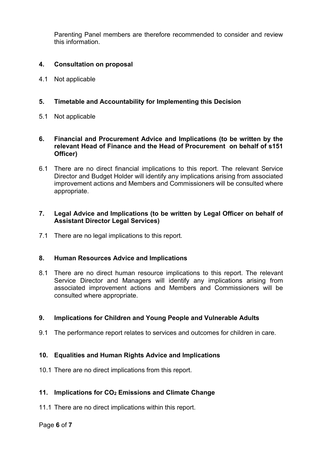Parenting Panel members are therefore recommended to consider and review this information.

#### **4. Consultation on proposal**

4.1 Not applicable

# **5. Timetable and Accountability for Implementing this Decision**

5.1 Not applicable

#### **6. Financial and Procurement Advice and Implications (to be written by the relevant Head of Finance and the Head of Procurement on behalf of s151 Officer)**

6.1 There are no direct financial implications to this report. The relevant Service Director and Budget Holder will identify any implications arising from associated improvement actions and Members and Commissioners will be consulted where appropriate.

# **7. Legal Advice and Implications (to be written by Legal Officer on behalf of Assistant Director Legal Services)**

7.1 There are no legal implications to this report.

#### **8. Human Resources Advice and Implications**

8.1 There are no direct human resource implications to this report. The relevant Service Director and Managers will identify any implications arising from associated improvement actions and Members and Commissioners will be consulted where appropriate.

#### **9. Implications for Children and Young People and Vulnerable Adults**

9.1 The performance report relates to services and outcomes for children in care.

#### **10. Equalities and Human Rights Advice and Implications**

10.1 There are no direct implications from this report.

#### **11. Implications for CO2 Emissions and Climate Change**

11.1 There are no direct implications within this report.

#### Page **6** of **7**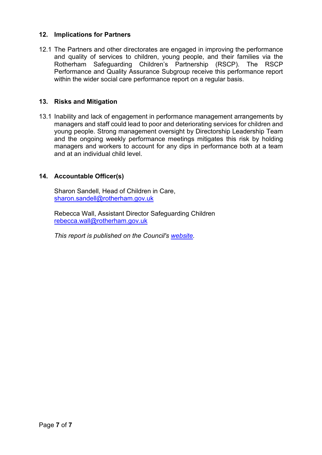#### **12. Implications for Partners**

12.1 The Partners and other directorates are engaged in improving the performance and quality of services to children, young people, and their families via the Rotherham Safeguarding Children's Partnership (RSCP). The RSCP Performance and Quality Assurance Subgroup receive this performance report within the wider social care performance report on a regular basis.

#### **13. Risks and Mitigation**

13.1 Inability and lack of engagement in performance management arrangements by managers and staff could lead to poor and deteriorating services for children and young people. Strong management oversight by Directorship Leadership Team and the ongoing weekly performance meetings mitigates this risk by holding managers and workers to account for any dips in performance both at a team and at an individual child level.

#### **14. Accountable Officer(s)**

Sharon Sandell, Head of Children in Care, [sharon.sandell@rotherham.gov.uk](mailto:sharon.sandell@rotherham.gov.uk)

Rebecca Wall, Assistant Director Safeguarding Children [rebecca.wall@rotherham.gov.uk](mailto:rebecca.wall@rotherham.gov.uk)

*This report is published on the Council's [website.](https://moderngov.rotherham.gov.uk/ieDocHome.aspx?Categories=)*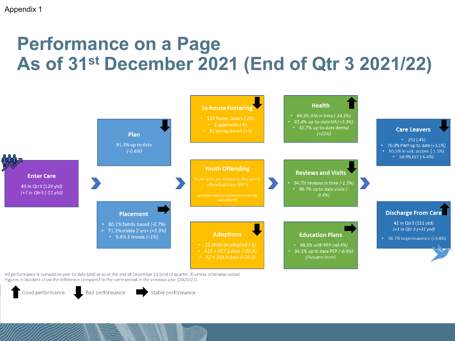# **Performance on a Page As of 31st December 2021 (End of Qtr 3 2021/22)**



All performance is cumulative year to date (ytd) or as at the end of December 21 (end of quarter 3) unless otherwise stated. Figures in brackets show the difference compared to the same period in the previous year (2020/21).

Good performance

Bad performance

Stable performance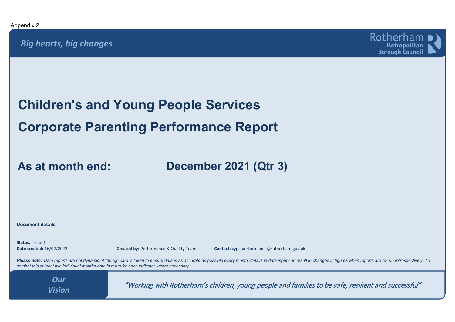

**Children's and Young People Services Corporate Parenting Performance Report**

**As at month end:**

**December 2021 (Qtr 3)**

**Document details**

**Status:** Issue 1

**Date created:** 16/02/2022 **Created by:** Performance & Quality Team **Contact:** cyps-performance@rotherham.gov.uk

Please note: Data reports are not dynamic. Although care is taken to ensure data is as accurate as possible every month, delays in data input can result in changes in figures when reports are re-run retrospectively. To *combat this at least two individual months data is rerun for each indicator where necessary.*

*Vision*

"Working with Rotherham's children, young people and families to be safe, resilient and successful" *Our*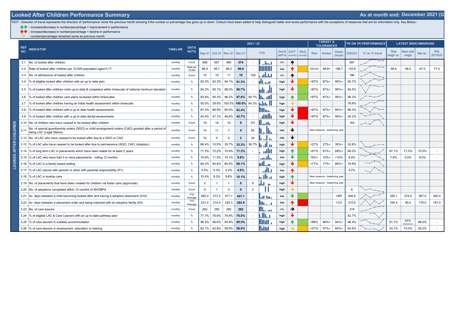\*DOT - Direction of travel represents the direction of 'performance' since the previous month showing if the number or percentage has gone up or down. Colours have been added to help distinguish better and worse performanc

- increase/decrease in number/percentage = improvement in performance

↑ • increase/decrease in number/percentage = decline in performance

 $\rightarrow$  - number/percentage remained same as previous month

Į

VETED  $\epsilon$ 

|            |                                                                                                                                  |         |                            | 2021 / 22    |                |                             |                         |       |            |                 |                     | <b>TARGET &amp;</b><br><b>TOLERANCES</b> |                               |                               | <b>YR ON YR PERFORMANCE</b> |         | <b>LATEST BENCHMARKING</b> |                          |                           |         |                       |
|------------|----------------------------------------------------------------------------------------------------------------------------------|---------|----------------------------|--------------|----------------|-----------------------------|-------------------------|-------|------------|-----------------|---------------------|------------------------------------------|-------------------------------|-------------------------------|-----------------------------|---------|----------------------------|--------------------------|---------------------------|---------|-----------------------|
| REF<br>NO. | <b>INDICATOR</b>                                                                                                                 |         | <b>DATA</b><br><b>NOTE</b> |              |                | Sep-21 Oct-21 Nov-21 Dec-21 |                         |       | <b>YTD</b> | Good<br>perf is | DOT*<br>$(month)$ : | <b>RAG</b><br>(month                     | Red                           | Amber                         | Green<br>(target)           | 2020/21 | Yr on Yr trend             | <b>Stat</b><br>neigh av. | <b>Best stat</b><br>neigh | Nat av. | <b>RIA</b><br>2019/20 |
| 3.1        | No. of looked after children                                                                                                     | monthly | Count                      | 568          | 567            | 564                         | 574                     |       | المطاب     | info            | ↑                   |                                          |                               |                               |                             | 597     |                            |                          |                           |         |                       |
|            | 3.2 Rate of looked after children per 10,000 population aged 0-17                                                                | monthly | Rate per<br>10.000         | 98.9         | 98.7           | 98.2                        | 99.9                    |       | IIIIII     | low             | ᠰ                   |                                          | $103.6+$                      | $98.8+$                       | < 98.7                      | 103.8   |                            | 99.4                     | 58.0                      | 67.0    | 77.0                  |
|            | 3.3 No. of admissions of looked after children                                                                                   | monthly | Count                      | 10           | 19             | 11                          | 19                      | 129   | البابان    | info            | ↑                   |                                          |                               |                               |                             | 186     |                            |                          |                           |         |                       |
| 3.4        | % of eligible looked after children with an up to date plan                                                                      | monthly |                            | 92.3%        | 93.3%          | 94.1%                       | 91.3%                   |       | Lud        | high            | ↓                   |                                          | <87%                          | 87%+                          | $95%+$                      | 95.7%   |                            |                          |                           |         |                       |
|            | i% of looked after children visits up to date & completed within timescale of national minimum standard                          | monthly |                            | 94.2%        |                | 95.1%   98.0%               | 96.7%                   |       |            | high            | ₩                   |                                          | <87%                          | 87%+                          | $95%+$                      | 94.5%   |                            |                          |                           |         |                       |
| 3.6        | % of looked after children care plans reviewed within timescales                                                                 | monthly |                            | 93.9%        |                |                             | 95.3% 96.2% 97.8%       | 94.7% |            | high            | ᠰ                   |                                          | < 87%                         | $87%+$                        | $95%+$                      | 96.2%   |                            |                          |                           |         |                       |
| 3.7        | % of looked after children having an initial health assessment within timescale                                                  | monthly |                            | 50.0%        |                |                             | 28.6%   100.0%   100.0% | 64.3% | alata      | high            |                     |                                          |                               |                               |                             | 78.8%   |                            |                          |                           |         |                       |
|            | % of looked after children with a up to date health assessments                                                                  | monthly |                            | 87.4%        |                | 86.9% 85.0%                 | 83.4%                   |       | lllin.     | high            | ↓                   |                                          | <87%                          | 87%+                          | 95%+                        | 88.3%   |                            |                          |                           |         |                       |
| 3.9        | % of looked after children with a up to date dental assessments                                                                  | monthly |                            | 44.4%        | 47.1%          | 46.6%                       | 42.7%                   |       | بالاتال.   | high            | ↓                   |                                          | <87%                          | $87%+$                        | 95%+                        | 20.2%   |                            |                          |                           |         |                       |
|            | 3.10 No. of children who have ceased to be looked after children                                                                 | monthly | Count                      | 19           | 19             | 14                          | 9                       | 151   | والمما     | high            | ₩                   |                                          |                               |                               |                             | 183     |                            |                          |                           |         |                       |
| 3.11       | No. of special guardianship orders (SGO) or child arrangement orders (CAO) granted after a period of<br>being LAC (Legal Status) | monthly | Count                      | 14           | 11             | $\overline{7}$              | $\boldsymbol{4}$        | 65    |            | info            | ₩                   |                                          | New measure - baselining year |                               |                             |         |                            |                          |                           |         |                       |
|            | 3.12 No. of LAC who have ceased to be looked after due to a SGO or CAO                                                           | monthly | Count                      | 10           | $\mathbf 0$    | $\overline{4}$              | $\overline{2}$          | 34    | l arti     | info            | ₩                   |                                          |                               |                               |                             |         |                            |                          |                           |         |                       |
|            | 3.13 % of LAC who have ceased to be looked after due to permanence (SGO, CAO, Adoption)                                          | monthly |                            | 68.4%        | 10.5%          | 35.7%                       | 33.3%                   | 36.7% | h allan    | high            | ₩                   |                                          | <27%                          | $27%+$                        | $35%+$                      | 32.8%   |                            |                          |                           |         |                       |
|            | 3.14 % of long term LAC in placements which have been stable for at least 2 years                                                | monthly |                            | 71.3%        | 72.2%          | 70.9%                       | 71.3%                   |       | ااأان      | high            | ᠰ                   |                                          | < 61%                         | $61% +$                       | 69%+                        | 69.2%   |                            | 67.1%                    | 71.0%                     | 70.0%   |                       |
| 3.15       | 1% of LAC who have had 3 or more placements - rolling 12 months                                                                  | monthly |                            | 10.6%        | 11.5%          | 10.1%                       | 9.8%                    |       | والرس      | low             | ₩                   |                                          | $18% +$                       | $10% +$                       | 10%                         | 8.9%    |                            | 7.8%                     | 5.0%                      | 9.0%    |                       |
|            | 3.16 % of LAC in a family based setting                                                                                          | monthly |                            | 80.3%        | 80.6%          | 80.5%                       | 80.1%                   |       | ullu       | high            | ₩                   |                                          | <77%                          | 77%+                          | $85%+$                      | 79.9%   |                            |                          |                           |         |                       |
| 3.17       | [14] So of LAC placed with parents or other with parental responsibility (P1)                                                    | monthly |                            | 5.5%         | 5.3%           | 4.3%                        | 4.9%                    |       | الالاب     | low             | T.                  |                                          |                               |                               |                             | 4.2%    |                            |                          |                           |         |                       |
|            | 3.18 % of LAC in kinship care                                                                                                    | monthly |                            | 10.4%        | 9.3%           | 9.8%                        | 10.1%                   |       | فطال       | high            | ᠰ                   |                                          | New measure - baselining year |                               |                             |         |                            |                          |                           |         |                       |
|            | 3.19 No. of placements that have been created for children via foster care (approvals)                                           | monthly | Count                      | $\mathbf 0$  | $\overline{1}$ | $\overline{1}$              | $\mathbf{0}$            | 9     | Ы          | high            | ₩                   |                                          |                               | New measure - baselining year |                             |         |                            |                          |                           |         |                       |
|            | 3.20 No. of adoptions completed within 12 months of SHOBPA                                                                       | monthly | Count                      | $\mathbf{0}$ | $\overline{1}$ | $\mathbf 0$                 | $\mathbf{0}$            | 2     |            | high            |                     |                                          |                               |                               |                             | 6       |                            |                          |                           |         |                       |
|            | 3.21 Av. days between a child becoming looked after and having a adoption placement (A10)                                        | monthly | <b>YTD</b><br>Average      | 490.2        | 473.3          | 471.1                       | 457.1                   |       | al los     | low             | ₩                   |                                          |                               |                               | < 487                       | 446.6   |                            | 350.1                    | 274.0                     | 367.0   | 360.0                 |
|            | 3.22 Av. days between a placement order and being matched with an adoptive family (A2)                                           | monthly | <b>YTD</b><br>Average      | 231.4        | 214.3          | 224.3                       | 263.9                   |       | 111. 1     | low             | Т                   |                                          |                               |                               | 121                         | 210.6   |                            | 160.4                    | 90.0                      | 175.0   | 167.0                 |
|            | 3.23 No. of care leavers                                                                                                         | monthly | Count                      | 282          | 290            | 292                         | 292                     |       | ويجردا     | info            | →                   |                                          |                               |                               |                             | 319     |                            |                          |                           |         |                       |
|            | 3.24 % of eligible LAC & Care Leavers with an up to date pathway plan                                                            | monthly |                            | 77.7%        | 76.6%          | 79.8%                       | 76.0%                   |       | JIL.       | high            | ₩                   |                                          |                               |                               |                             | 82.7%   |                            |                          |                           |         |                       |
| 3.25       | % of care leavers in suitable accommodation                                                                                      | monthly |                            | 96.5%        | 96.6%          | 94.9%                       | 95.5%                   |       | llilill    | high            | ᠰ                   |                                          | <86%                          | 86%+                          | $94%+$                      | 98.4%   |                            | 91.1%                    | 97%<br>Rotherham          | 88.0%   |                       |
|            | 3.26 % of care leavers in employment, education or training                                                                      | monthly |                            |              |                | 62.1% 62.8% 58.9% 58.9%     |                         |       | hlu        | high            |                     |                                          | $< 57\%$                      | $57%+$                        | 65%+                        | 64.9%   |                            | 53.1%                    | 73.0%                     | 52.0%   |                       |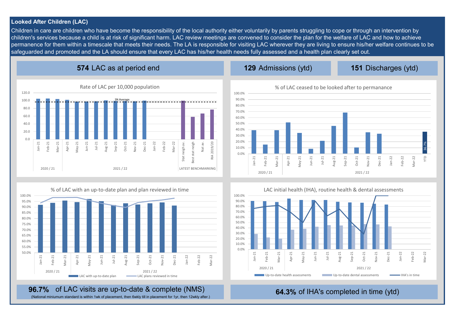#### **Looked After Children (LAC)**

Children in care are children who have become the responsibility of the local authority either voluntarily by parents struggling to cope or through an intervention by children's services because a child is at risk of significant harm. LAC review meetings are convened to consider the plan for the welfare of LAC and how to achieve permanence for them within a timescale that meets their needs. The LA is responsible for visiting LAC wherever they are living to ensure his/her welfare continues to be safeguarded and promoted and the LA should ensure that every LAC has his/her health needs fully assessed and a health plan clearly set out.

# **574** LAC as at period end

**129 151** Discharges (ytd)





# **96.7%** of LAC visits are up-to-date & complete (NMS) **96.7%** of IHA's completed in time (ytd)

(National miniumum standard is within 1wk of placement, then 6wkly till in placement for 1yr, then 12wkly after.)



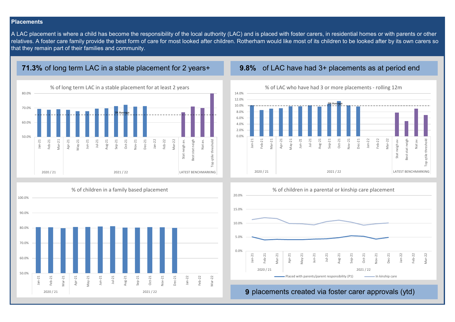#### **Placements**

A LAC placement is where a child has become the responsibility of the local authority (LAC) and is placed with foster carers, in residential homes or with parents or other relatives. A foster care family provide the best form of care for most looked after children. Rotherham would like most of its children to be looked after by its own carers so that they remain part of their families and community.

#### **71.3%** of long term LAC in a stable placement for 2 years+ **9.8%** of LAC have had 3+ placements as at period end









**9** placements created via foster carer approvals (ytd)